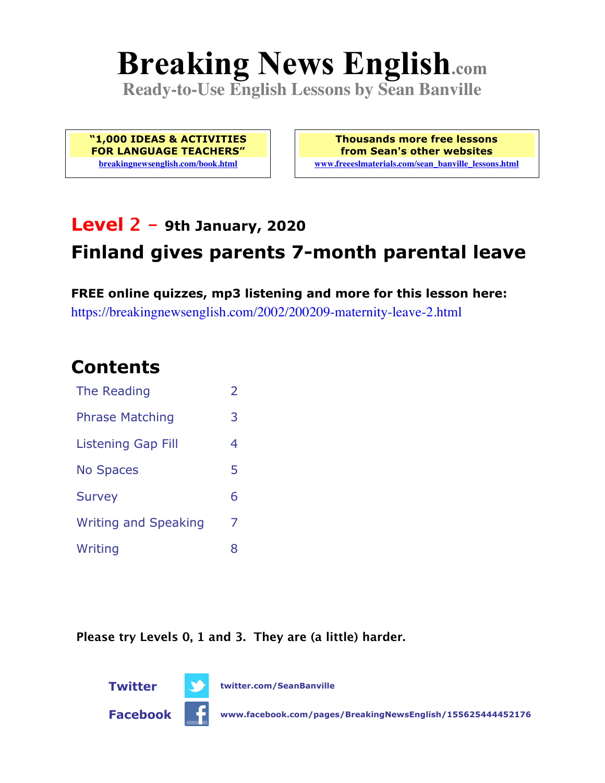# **Breaking News English.com**

**Ready-to-Use English Lessons by Sean Banville**

**"1,000 IDEAS & ACTIVITIES FOR LANGUAGE TEACHERS" breakingnewsenglish.com/book.html**

**Thousands more free lessons from Sean's other websites www.freeeslmaterials.com/sean\_banville\_lessons.html**

# **Level 2 - 9th January, 2020 Finland gives parents 7-month parental leave**

**FREE online quizzes, mp3 listening and more for this lesson here:** https://breakingnewsenglish.com/2002/200209-maternity-leave-2.html

#### **Contents**

| The Reading                 | $\overline{\phantom{a}}$ |
|-----------------------------|--------------------------|
| <b>Phrase Matching</b>      | 3                        |
| Listening Gap Fill          | 4                        |
| <b>No Spaces</b>            | 5                        |
| <b>Survey</b>               | 6                        |
| <b>Writing and Speaking</b> | 7                        |
| Writing                     | 8                        |

**Please try Levels 0, 1 and 3. They are (a little) harder.**



**Twitter twitter.com/SeanBanville**

**Facebook www.facebook.com/pages/BreakingNewsEnglish/155625444452176**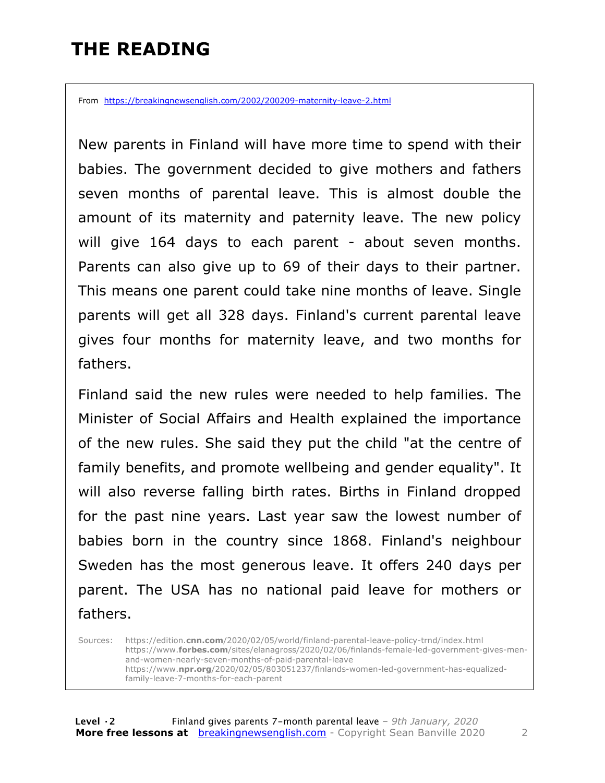# **THE READING**

From https://breakingnewsenglish.com/2002/200209-maternity-leave-2.html

New parents in Finland will have more time to spend with their babies. The government decided to give mothers and fathers seven months of parental leave. This is almost double the amount of its maternity and paternity leave. The new policy will give 164 days to each parent - about seven months. Parents can also give up to 69 of their days to their partner. This means one parent could take nine months of leave. Single parents will get all 328 days. Finland's current parental leave gives four months for maternity leave, and two months for fathers.

Finland said the new rules were needed to help families. The Minister of Social Affairs and Health explained the importance of the new rules. She said they put the child "at the centre of family benefits, and promote wellbeing and gender equality". It will also reverse falling birth rates. Births in Finland dropped for the past nine years. Last year saw the lowest number of babies born in the country since 1868. Finland's neighbour Sweden has the most generous leave. It offers 240 days per parent. The USA has no national paid leave for mothers or fathers.

Sources: https://edition.**cnn.com**/2020/02/05/world/finland-parental-leave-policy-trnd/index.html https://www.**forbes.com**/sites/elanagross/2020/02/06/finlands-female-led-government-gives-menand-women-nearly-seven-months-of-paid-parental-leave https://www.**npr.org**/2020/02/05/803051237/finlands-women-led-government-has-equalizedfamily-leave-7-months-for-each-parent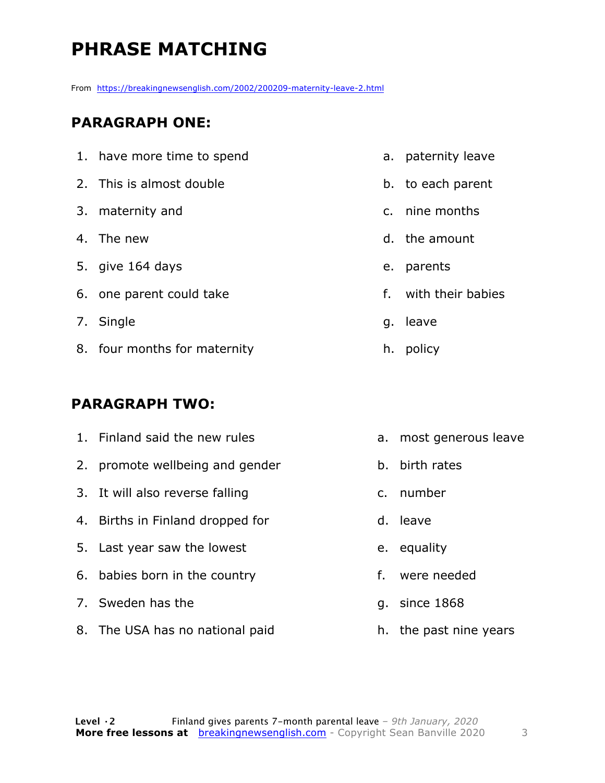# **PHRASE MATCHING**

From https://breakingnewsenglish.com/2002/200209-maternity-leave-2.html

#### **PARAGRAPH ONE:**

|                       | 1. have more time to spend   |  | a. paternity lea |
|-----------------------|------------------------------|--|------------------|
|                       | 2. This is almost double     |  | b. to each pare  |
|                       | 3. maternity and             |  | c. nine months   |
|                       | 4. The new                   |  | d. the amount    |
|                       | 5. give 164 days             |  | e. parents       |
|                       | 6. one parent could take     |  | f. with their b  |
|                       | 7. Single                    |  | g. leave         |
|                       | 8. four months for maternity |  | h. policy        |
|                       |                              |  |                  |
| <b>PARAGRAPH TWO:</b> |                              |  |                  |

#### 1. Finland said the new rules

- 2. promote wellbeing and gender
- 3. It will also reverse falling
- 4. Births in Finland dropped for
- 5. Last year saw the lowest
- 6. babies born in the country
- 7. Sweden has the
- 8. The USA has no national paid
- ave
- ent
- c. nine months
- abies

- a. most generous leave
- b. birth rates
- c. number
- d. leave
- e. equality
- f. were needed
- g. since 1868
- h. the past nine years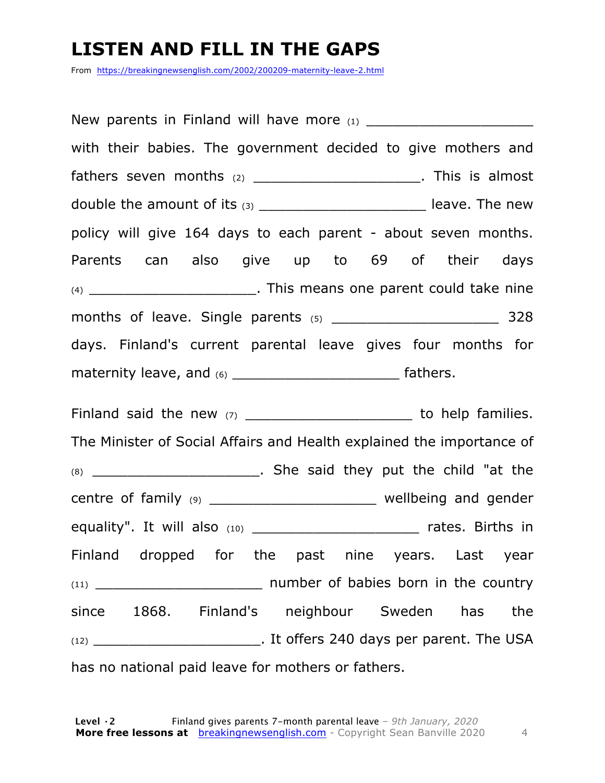### **LISTEN AND FILL IN THE GAPS**

From https://breakingnewsenglish.com/2002/200209-maternity-leave-2.html

New parents in Finland will have more  $(1)$ with their babies. The government decided to give mothers and fathers seven months  $(2)$  \_\_\_\_\_\_\_\_\_\_\_\_\_\_\_\_\_\_\_\_\_\_\_\_. This is almost double the amount of its  $(3)$  \_\_\_\_\_\_\_\_\_\_\_\_\_\_\_\_\_\_\_\_\_\_\_\_\_\_\_\_\_ leave. The new policy will give 164 days to each parent - about seven months. Parents can also give up to 69 of their days (4) \_\_\_\_\_\_\_\_\_\_\_\_\_\_\_\_\_\_\_\_\_\_\_\_. This means one parent could take nine months of leave. Single parents (5) The months of leave. Single parents (5) days. Finland's current parental leave gives four months for maternity leave, and (6) \_\_\_\_\_\_\_\_\_\_\_\_\_\_\_\_\_\_\_\_\_\_\_\_\_\_\_\_ fathers.

Finland said the new (7) \_\_\_\_\_\_\_\_\_\_\_\_\_\_\_\_\_\_\_\_\_\_\_\_\_\_ to help families. The Minister of Social Affairs and Health explained the importance of (8) \_\_\_\_\_\_\_\_\_\_\_\_\_\_\_\_\_\_\_. She said they put the child "at the centre of family (9) \_\_\_\_\_\_\_\_\_\_\_\_\_\_\_\_\_\_\_\_\_\_\_\_\_ wellbeing and gender equality". It will also (10) \_\_\_\_\_\_\_\_\_\_\_\_\_\_\_\_\_\_\_ rates. Births in Finland dropped for the past nine years. Last year (11) \_\_\_\_\_\_\_\_\_\_\_\_\_\_\_\_\_\_\_ number of babies born in the country since 1868. Finland's neighbour Sweden has the (12) \_\_\_\_\_\_\_\_\_\_\_\_\_\_\_\_\_\_\_. It offers 240 days per parent. The USA has no national paid leave for mothers or fathers.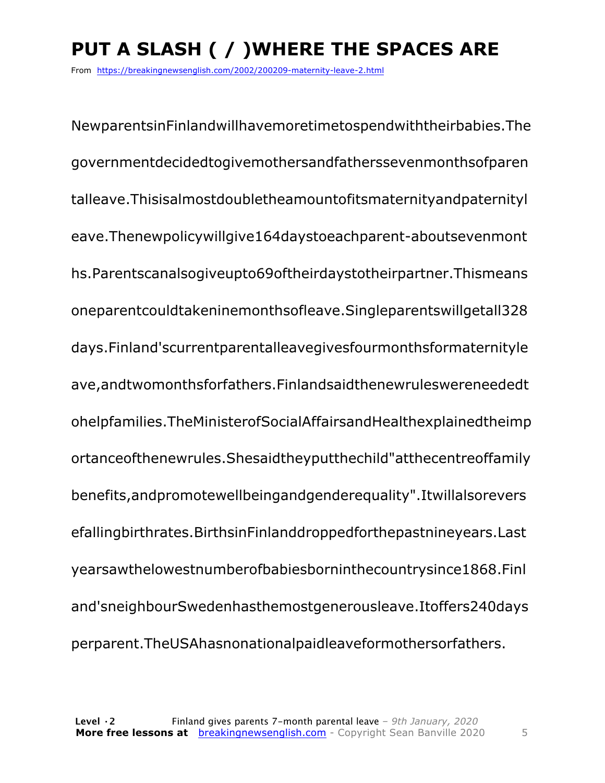# **PUT A SLASH ( / )WHERE THE SPACES ARE**

From https://breakingnewsenglish.com/2002/200209-maternity-leave-2.html

NewparentsinFinlandwillhavemoretimetospendwiththeirbabies.The governmentdecidedtogivemothersandfatherssevenmonthsofparen talleave.Thisisalmostdoubletheamountofitsmaternityandpaternityl eave.Thenewpolicywillgive164daystoeachparent-aboutsevenmont hs.Parentscanalsogiveupto69oftheirdaystotheirpartner.Thismeans oneparentcouldtakeninemonthsofleave.Singleparentswillgetall328 days.Finland'scurrentparentalleavegivesfourmonthsformaternityle ave,andtwomonthsforfathers.Finlandsaidthenewruleswereneededt ohelpfamilies.TheMinisterofSocialAffairsandHealthexplainedtheimp ortanceofthenewrules.Shesaidtheyputthechild"atthecentreoffamily benefits,andpromotewellbeingandgenderequality".Itwillalsorevers efallingbirthrates.BirthsinFinlanddroppedforthepastnineyears.Last yearsawthelowestnumberofbabiesborninthecountrysince1868.Finl and'sneighbourSwedenhasthemostgenerousleave.Itoffers240days perparent.TheUSAhasnonationalpaidleaveformothersorfathers.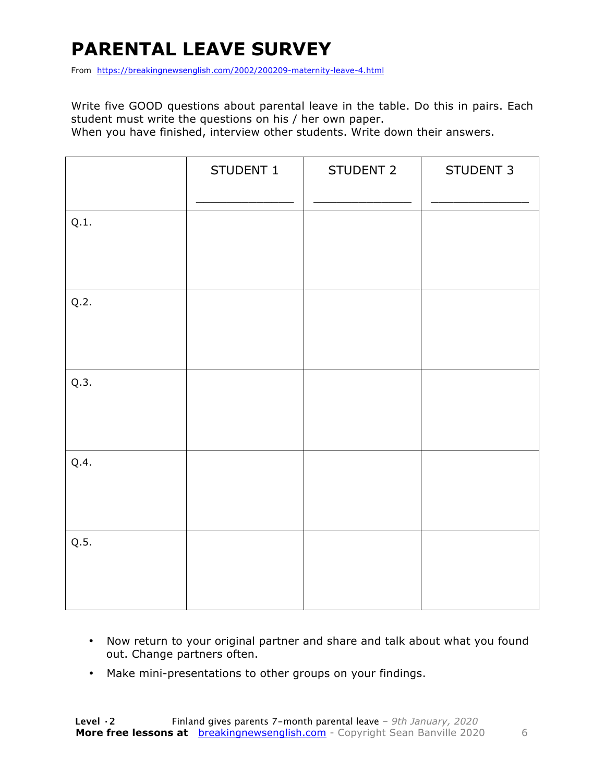# **PARENTAL LEAVE SURVEY**

From https://breakingnewsenglish.com/2002/200209-maternity-leave-4.html

Write five GOOD questions about parental leave in the table. Do this in pairs. Each student must write the questions on his / her own paper.

When you have finished, interview other students. Write down their answers.

|      | STUDENT 1 | STUDENT 2 | STUDENT 3 |
|------|-----------|-----------|-----------|
| Q.1. |           |           |           |
| Q.2. |           |           |           |
| Q.3. |           |           |           |
| Q.4. |           |           |           |
| Q.5. |           |           |           |

- Now return to your original partner and share and talk about what you found out. Change partners often.
- Make mini-presentations to other groups on your findings.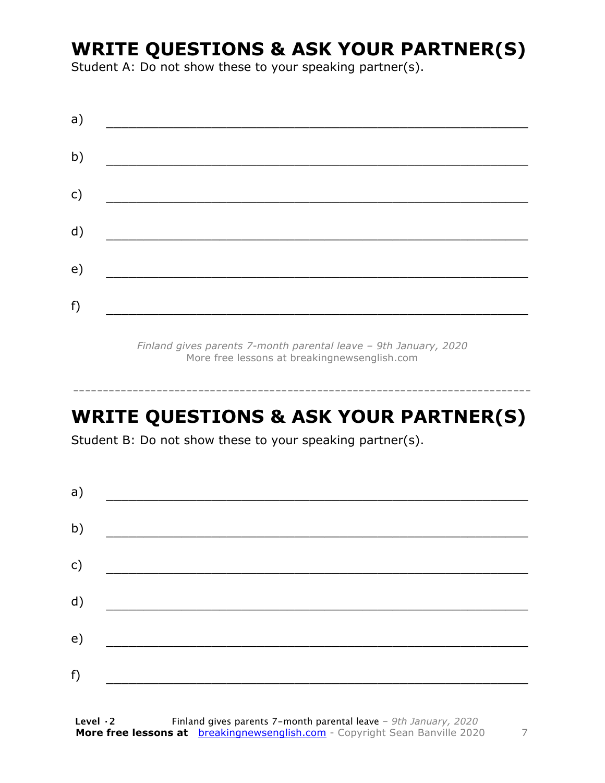## **WRITE QUESTIONS & ASK YOUR PARTNER(S)**

Student A: Do not show these to your speaking partner(s).

| a) |  |  |
|----|--|--|
| b) |  |  |
| c) |  |  |
| d) |  |  |
| e) |  |  |
| f) |  |  |
|    |  |  |

*Finland gives parents 7-month parental leave – 9th January, 2020* More free lessons at breakingnewsenglish.com

### **WRITE QUESTIONS & ASK YOUR PARTNER(S)**

-----------------------------------------------------------------------------

Student B: Do not show these to your speaking partner(s).

| a) |  |  |
|----|--|--|
| b) |  |  |
| c) |  |  |
| d) |  |  |
| e) |  |  |
| f) |  |  |
|    |  |  |